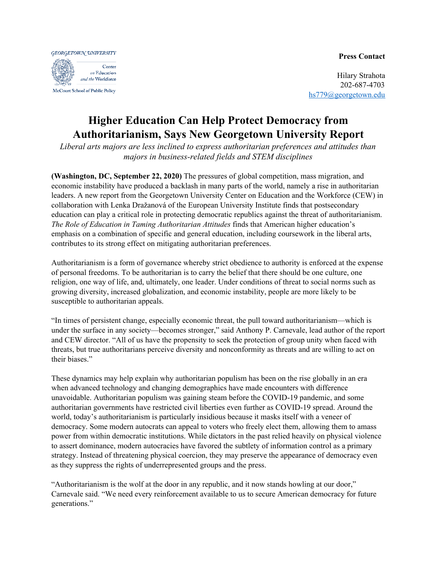## **Press Contact**

**GEORGETOWN UNIVERSITY** Center on Education and the Workforce McCourt School of Public Policy

Hilary Strahota 202-687-4703 [hs779@georgetown.edu](mailto:hs779@georgetown.edu)

## **Higher Education Can Help Protect Democracy from Authoritarianism, Says New Georgetown University Report**

*Liberal arts majors are less inclined to express authoritarian preferences and attitudes than majors in business-related fields and STEM disciplines*

**(Washington, DC, September 22, 2020)** The pressures of global competition, mass migration, and economic instability have produced a backlash in many parts of the world, namely a rise in authoritarian leaders. A new report from the Georgetown University Center on Education and the Workforce (CEW) in collaboration with Lenka Dražanová of the European University Institute finds that postsecondary education can play a critical role in protecting democratic republics against the threat of authoritarianism. *The Role of Education in Taming Authoritarian Attitudes* finds that American higher education's emphasis on a combination of specific and general education, including coursework in the liberal arts, contributes to its strong effect on mitigating authoritarian preferences.

Authoritarianism is a form of governance whereby strict obedience to authority is enforced at the expense of personal freedoms. To be authoritarian is to carry the belief that there should be one culture, one religion, one way of life, and, ultimately, one leader. Under conditions of threat to social norms such as growing diversity, increased globalization, and economic instability, people are more likely to be susceptible to authoritarian appeals.

"In times of persistent change, especially economic threat, the pull toward authoritarianism—which is under the surface in any society—becomes stronger," said Anthony P. Carnevale, lead author of the report and CEW director. "All of us have the propensity to seek the protection of group unity when faced with threats, but true authoritarians perceive diversity and nonconformity as threats and are willing to act on their biases."

These dynamics may help explain why authoritarian populism has been on the rise globally in an era when advanced technology and changing demographics have made encounters with difference unavoidable. Authoritarian populism was gaining steam before the COVID-19 pandemic, and some authoritarian governments have restricted civil liberties even further as COVID-19 spread. Around the world, today's authoritarianism is particularly insidious because it masks itself with a veneer of democracy. Some modern autocrats can appeal to voters who freely elect them, allowing them to amass power from within democratic institutions. While dictators in the past relied heavily on physical violence to assert dominance, modern autocracies have favored the subtlety of information control as a primary strategy. Instead of threatening physical coercion, they may preserve the appearance of democracy even as they suppress the rights of underrepresented groups and the press.

"Authoritarianism is the wolf at the door in any republic, and it now stands howling at our door," Carnevale said. "We need every reinforcement available to us to secure American democracy for future generations."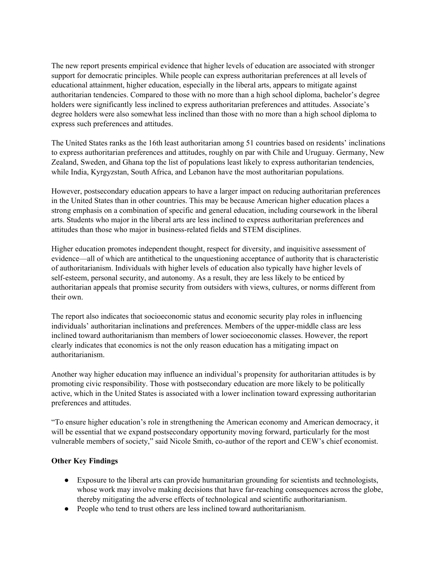The new report presents empirical evidence that higher levels of education are associated with stronger support for democratic principles. While people can express authoritarian preferences at all levels of educational attainment, higher education, especially in the liberal arts, appears to mitigate against authoritarian tendencies. Compared to those with no more than a high school diploma, bachelor's degree holders were significantly less inclined to express authoritarian preferences and attitudes. Associate's degree holders were also somewhat less inclined than those with no more than a high school diploma to express such preferences and attitudes.

The United States ranks as the 16th least authoritarian among 51 countries based on residents' inclinations to express authoritarian preferences and attitudes, roughly on par with Chile and Uruguay. Germany, New Zealand, Sweden, and Ghana top the list of populations least likely to express authoritarian tendencies, while India, Kyrgyzstan, South Africa, and Lebanon have the most authoritarian populations.

However, postsecondary education appears to have a larger impact on reducing authoritarian preferences in the United States than in other countries. This may be because American higher education places a strong emphasis on a combination of specific and general education, including coursework in the liberal arts. Students who major in the liberal arts are less inclined to express authoritarian preferences and attitudes than those who major in business-related fields and STEM disciplines.

Higher education promotes independent thought, respect for diversity, and inquisitive assessment of evidence—all of which are antithetical to the unquestioning acceptance of authority that is characteristic of authoritarianism. Individuals with higher levels of education also typically have higher levels of self-esteem, personal security, and autonomy. As a result, they are less likely to be enticed by authoritarian appeals that promise security from outsiders with views, cultures, or norms different from their own.

The report also indicates that socioeconomic status and economic security play roles in influencing individuals' authoritarian inclinations and preferences. Members of the upper-middle class are less inclined toward authoritarianism than members of lower socioeconomic classes. However, the report clearly indicates that economics is not the only reason education has a mitigating impact on authoritarianism.

Another way higher education may influence an individual's propensity for authoritarian attitudes is by promoting civic responsibility. Those with postsecondary education are more likely to be politically active, which in the United States is associated with a lower inclination toward expressing authoritarian preferences and attitudes.

"To ensure higher education's role in strengthening the American economy and American democracy, it will be essential that we expand postsecondary opportunity moving forward, particularly for the most vulnerable members of society," said Nicole Smith, co-author of the report and CEW's chief economist.

## **Other Key Findings**

- Exposure to the liberal arts can provide humanitarian grounding for scientists and technologists, whose work may involve making decisions that have far-reaching consequences across the globe, thereby mitigating the adverse effects of technological and scientific authoritarianism.
- People who tend to trust others are less inclined toward authoritarianism.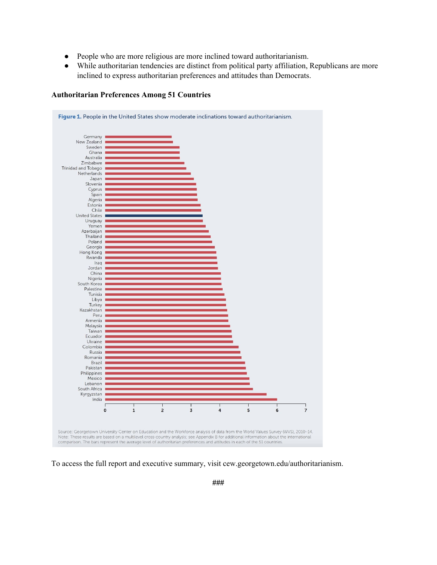- People who are more religious are more inclined toward authoritarianism.
- While authoritarian tendencies are distinct from political party affiliation, Republicans are more inclined to express authoritarian preferences and attitudes than Democrats.



## **Authoritarian Preferences Among 51 Countries**

To access the full report and executive summary, visit cew.georgetown.edu/authoritarianism.